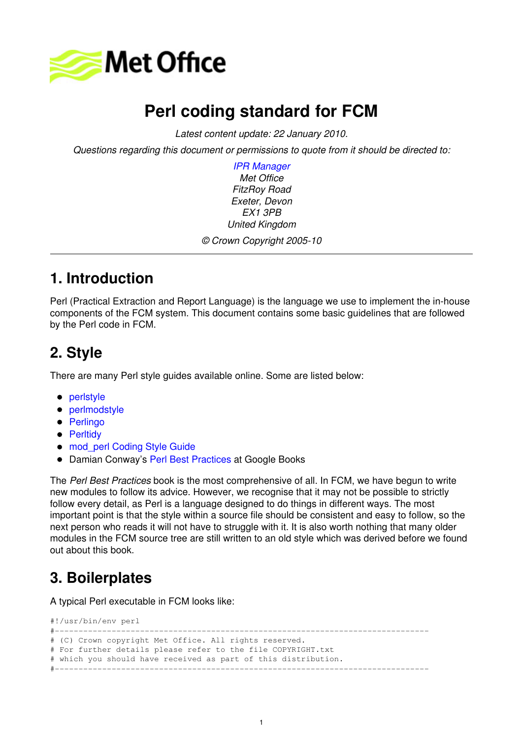

# **Perl coding standard for FCM**

*Latest content update: 22 January 2010.* 

*Questions regarding this document or permissions to quote from it should be directed to:* 

*IPR Manager Met Office FitzRoy Road Exeter, Devon EX1 3PB United Kingdom © Crown Copyright 2005-10* 

### **1. Introduction**

Perl (Practical Extraction and Report Language) is the language we use to implement the in-house components of the FCM system. This document contains some basic guidelines that are followed by the Perl code in FCM.

# **2. Style**

There are many Perl style guides available online. Some are listed below:

- [perlstyle](http://perldoc.perl.org/perlstyle.html)
- [perlmodstyle](http://perldoc.perl.org/perlmodstyle.html)
- [Perlingo](http://www.kulnet.kuleuven.ac.be/perlcourse/perlingo.html)
- [Perltidy](http://perltidy.sourceforge.net/)
- mod perl Coding Style Guide
- **Damian Conway's [Perl Best Practices](http://books.google.co.uk/books?id=gJf9tI2mytIC&dq=perl+best+practices&printsec=frontcover&source=bn&hl=en&ei=rnFZS7DPB4j80wTxi-T9BA&sa=X&oi=book_result&ct=result&resnum=4&ved=0CBQQ6AEwAw#v=onepage&q=&f=false) at Google Books**

The *Perl Best Practices* book is the most comprehensive of all. In FCM, we have begun to write new modules to follow its advice. However, we recognise that it may not be possible to strictly follow every detail, as Perl is a language designed to do things in different ways. The most important point is that the style within a source file should be consistent and easy to follow, so the next person who reads it will not have to struggle with it. It is also worth nothing that many older modules in the FCM source tree are still written to an old style which was derived before we found out about this book.

## **3. Boilerplates**

A typical Perl executable in FCM looks like:

#!/usr/bin/env perl

```
#-------------------------------------------------------------------------------
# (C) Crown copyright Met Office. All rights reserved.
# For further details please refer to the file COPYRIGHT.txt
# which you should have received as part of this distribution.
#-------------------------------------------------------------------------------
```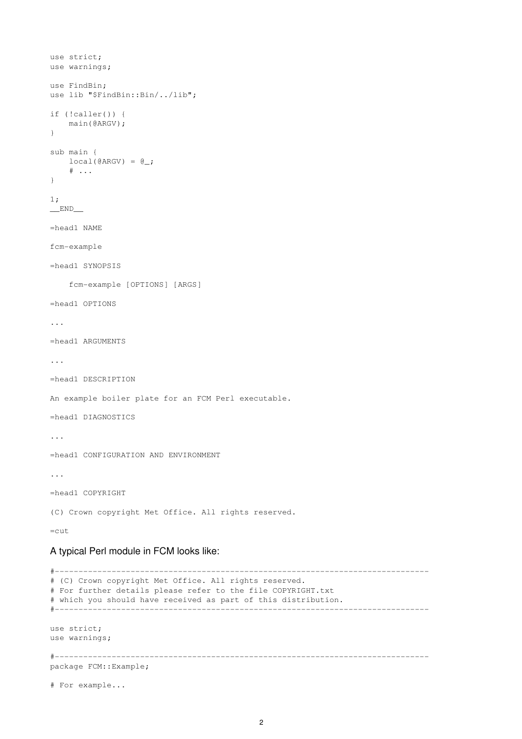```
use strict;
use warnings;
use FindBin;
use lib "$FindBin::Bin/../lib";
if (!caller()) {
     main(@ARGV);
}
sub main {
   local(\texttt{QARGV}) = \texttt{Q}_i\# ...
}
1;
\_END\_=head1 NAME
fcm-example
=head1 SYNOPSIS
     fcm-example [OPTIONS] [ARGS]
=head1 OPTIONS
...
=head1 ARGUMENTS
...
=head1 DESCRIPTION
An example boiler plate for an FCM Perl executable.
=head1 DIAGNOSTICS
...
=head1 CONFIGURATION AND ENVIRONMENT
...
=head1 COPYRIGHT
(C) Crown copyright Met Office. All rights reserved.
=cut
```
#### A typical Perl module in FCM looks like:

```
#-------------------------------------------------------------------------------
# (C) Crown copyright Met Office. All rights reserved.
# For further details please refer to the file COPYRIGHT.txt
# which you should have received as part of this distribution.
#-------------------------------------------------------------------------------
use strict;
use warnings;
#-------------------------------------------------------------------------------
package FCM::Example;
# For example...
```